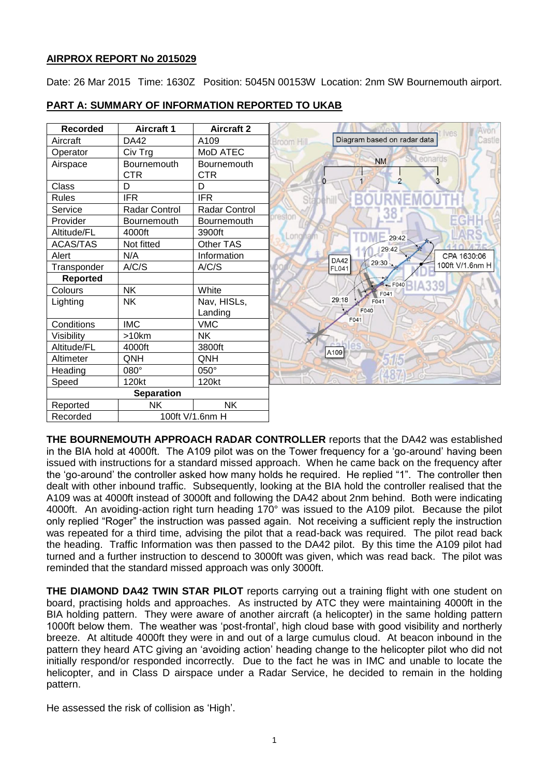## **AIRPROX REPORT No 2015029**

Date: 26 Mar 2015 Time: 1630Z Position: 5045N 00153W Location: 2nm SW Bournemouth airport.

| <b>Recorded</b>   | <b>Aircraft 1</b>                | <b>Aircraft 2</b>                |                |                             |
|-------------------|----------------------------------|----------------------------------|----------------|-----------------------------|
| Aircraft          | <b>DA42</b>                      | A109                             | Broom Hill     | Diagram based on radar data |
| Operator          | Civ Trg                          | MoD ATEC                         |                |                             |
| Airspace          | <b>Bournemouth</b><br><b>CTR</b> | <b>Bournemouth</b><br><b>CTR</b> |                | <b>NM</b><br>$\overline{2}$ |
| Class             | D                                | D                                | $\overline{0}$ |                             |
| <b>Rules</b>      | <b>IFR</b>                       | <b>IFR</b>                       | Stabehill      |                             |
| Service           | <b>Radar Control</b>             | Radar Control                    |                |                             |
| Provider          | Bournemouth                      | Bournemouth                      | preston        |                             |
| Altitude/FL       | 4000ft                           | 3900ft                           | Longh          | 29:42                       |
| <b>ACAS/TAS</b>   | Not fitted                       | Other TAS                        |                | 29:42                       |
| Alert             | N/A                              | Information                      |                | <b>DA42</b>                 |
| Transponder       | A/C/S                            | A/C/S                            |                | 29:30<br><b>FL041</b>       |
| <b>Reported</b>   |                                  |                                  |                | $K - F040$                  |
| Colours           | <b>NK</b>                        | White                            |                | F041                        |
| Lighting          | <b>NK</b>                        | Nav, HISLs,<br>Landing           |                | 29:18<br>F041<br>F040       |
| Conditions        | <b>IMC</b>                       | <b>VMC</b>                       |                | F041                        |
| Visibility        | >10km                            | <b>NK</b>                        |                |                             |
| Altitude/FL       | 4000ft                           | 3800ft                           |                | A <sub>109</sub>            |
| Altimeter         | <b>QNH</b>                       | QNH                              |                |                             |
| Heading           | 080°                             | 050°                             |                |                             |
| Speed             | 120kt                            | 120kt                            |                |                             |
| <b>Separation</b> |                                  |                                  |                |                             |
| Reported          | <b>NK</b>                        | NK                               |                |                             |
| Recorded          | 100ft V/1.6nm H                  |                                  |                |                             |

# **PART A: SUMMARY OF INFORMATION REPORTED TO UKAB**

**THE BOURNEMOUTH APPROACH RADAR CONTROLLER** reports that the DA42 was established in the BIA hold at 4000ft. The A109 pilot was on the Tower frequency for a 'go-around' having been issued with instructions for a standard missed approach. When he came back on the frequency after the 'go-around' the controller asked how many holds he required. He replied "1". The controller then dealt with other inbound traffic. Subsequently, looking at the BIA hold the controller realised that the A109 was at 4000ft instead of 3000ft and following the DA42 about 2nm behind. Both were indicating 4000ft. An avoiding-action right turn heading 170° was issued to the A109 pilot. Because the pilot only replied "Roger" the instruction was passed again. Not receiving a sufficient reply the instruction was repeated for a third time, advising the pilot that a read-back was required. The pilot read back the heading. Traffic Information was then passed to the DA42 pilot. By this time the A109 pilot had turned and a further instruction to descend to 3000ft was given, which was read back. The pilot was reminded that the standard missed approach was only 3000ft.

**THE DIAMOND DA42 TWIN STAR PILOT** reports carrying out a training flight with one student on board, practising holds and approaches. As instructed by ATC they were maintaining 4000ft in the BIA holding pattern. They were aware of another aircraft (a helicopter) in the same holding pattern 1000ft below them. The weather was 'post-frontal', high cloud base with good visibility and northerly breeze. At altitude 4000ft they were in and out of a large cumulus cloud. At beacon inbound in the pattern they heard ATC giving an 'avoiding action' heading change to the helicopter pilot who did not initially respond/or responded incorrectly. Due to the fact he was in IMC and unable to locate the helicopter, and in Class D airspace under a Radar Service, he decided to remain in the holding pattern.

He assessed the risk of collision as 'High'.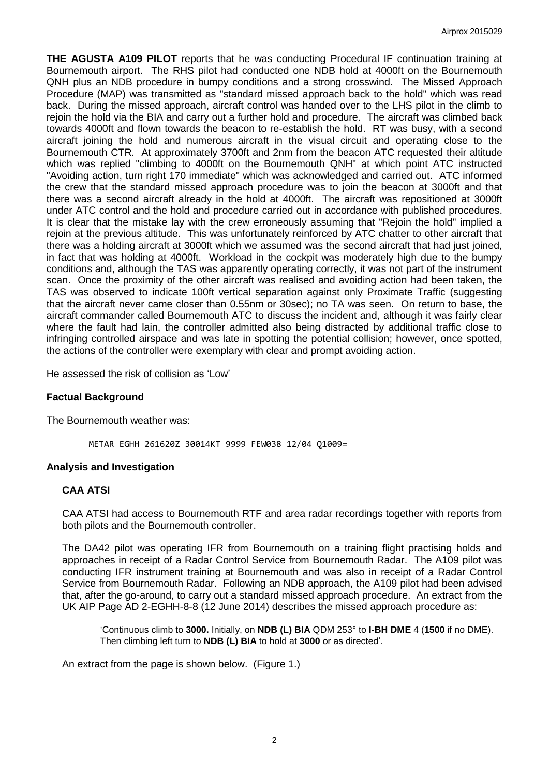**THE AGUSTA A109 PILOT** reports that he was conducting Procedural IF continuation training at Bournemouth airport. The RHS pilot had conducted one NDB hold at 4000ft on the Bournemouth QNH plus an NDB procedure in bumpy conditions and a strong crosswind. The Missed Approach Procedure (MAP) was transmitted as "standard missed approach back to the hold" which was read back. During the missed approach, aircraft control was handed over to the LHS pilot in the climb to rejoin the hold via the BIA and carry out a further hold and procedure. The aircraft was climbed back towards 4000ft and flown towards the beacon to re-establish the hold. RT was busy, with a second aircraft joining the hold and numerous aircraft in the visual circuit and operating close to the Bournemouth CTR. At approximately 3700ft and 2nm from the beacon ATC requested their altitude which was replied "climbing to 4000ft on the Bournemouth QNH" at which point ATC instructed "Avoiding action, turn right 170 immediate" which was acknowledged and carried out. ATC informed the crew that the standard missed approach procedure was to join the beacon at 3000ft and that there was a second aircraft already in the hold at 4000ft. The aircraft was repositioned at 3000ft under ATC control and the hold and procedure carried out in accordance with published procedures. It is clear that the mistake lay with the crew erroneously assuming that "Rejoin the hold" implied a rejoin at the previous altitude. This was unfortunately reinforced by ATC chatter to other aircraft that there was a holding aircraft at 3000ft which we assumed was the second aircraft that had just joined, in fact that was holding at 4000ft. Workload in the cockpit was moderately high due to the bumpy conditions and, although the TAS was apparently operating correctly, it was not part of the instrument scan. Once the proximity of the other aircraft was realised and avoiding action had been taken, the TAS was observed to indicate 100ft vertical separation against only Proximate Traffic (suggesting that the aircraft never came closer than 0.55nm or 30sec); no TA was seen. On return to base, the aircraft commander called Bournemouth ATC to discuss the incident and, although it was fairly clear where the fault had lain, the controller admitted also being distracted by additional traffic close to infringing controlled airspace and was late in spotting the potential collision; however, once spotted, the actions of the controller were exemplary with clear and prompt avoiding action.

He assessed the risk of collision as 'Low'

#### **Factual Background**

The Bournemouth weather was:

METAR EGHH 261620Z 30014KT 9999 FEW038 12/04 Q1009=

#### **Analysis and Investigation**

## **CAA ATSI**

CAA ATSI had access to Bournemouth RTF and area radar recordings together with reports from both pilots and the Bournemouth controller.

The DA42 pilot was operating IFR from Bournemouth on a training flight practising holds and approaches in receipt of a Radar Control Service from Bournemouth Radar. The A109 pilot was conducting IFR instrument training at Bournemouth and was also in receipt of a Radar Control Service from Bournemouth Radar. Following an NDB approach, the A109 pilot had been advised that, after the go-around, to carry out a standard missed approach procedure. An extract from the UK AIP Page AD 2-EGHH-8-8 (12 June 2014) describes the missed approach procedure as:

'Continuous climb to **3000.** Initially, on **NDB (L) BIA** QDM 253° to **I-BH DME** 4 (**1500** if no DME). Then climbing left turn to **NDB (L) BIA** to hold at **3000** or as directed'.

An extract from the page is shown below. (Figure 1.)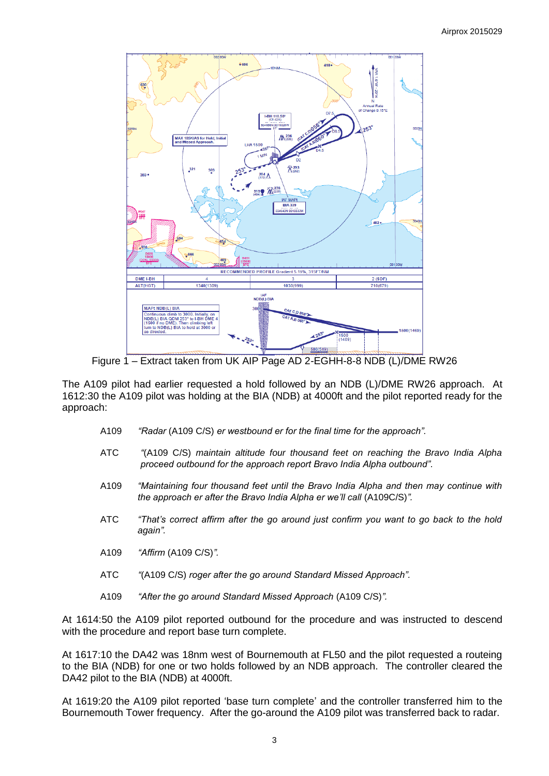

Figure 1 – Extract taken from UK AIP Page AD 2-EGHH-8-8 NDB (L)/DME RW26

The A109 pilot had earlier requested a hold followed by an NDB (L)/DME RW26 approach. At 1612:30 the A109 pilot was holding at the BIA (NDB) at 4000ft and the pilot reported ready for the approach:

- A109 *"Radar* (A109 C/S) *er westbound er for the final time for the approach".*
- ATC *"*(A109 C/S) *maintain altitude four thousand feet on reaching the Bravo India Alpha proceed outbound for the approach report Bravo India Alpha outbound".*
- A109 *"Maintaining four thousand feet until the Bravo India Alpha and then may continue with the approach er after the Bravo India Alpha er we'll call* (A109C/S)*".*
- ATC *"That's correct affirm after the go around just confirm you want to go back to the hold again".*
- A109 *"Affirm* (A109 C/S)*".*
- ATC *"*(A109 C/S) *roger after the go around Standard Missed Approach".*
- A109 *"After the go around Standard Missed Approach* (A109 C/S)*".*

At 1614:50 the A109 pilot reported outbound for the procedure and was instructed to descend with the procedure and report base turn complete.

At 1617:10 the DA42 was 18nm west of Bournemouth at FL50 and the pilot requested a routeing to the BIA (NDB) for one or two holds followed by an NDB approach. The controller cleared the DA42 pilot to the BIA (NDB) at 4000ft.

At 1619:20 the A109 pilot reported 'base turn complete' and the controller transferred him to the Bournemouth Tower frequency. After the go-around the A109 pilot was transferred back to radar.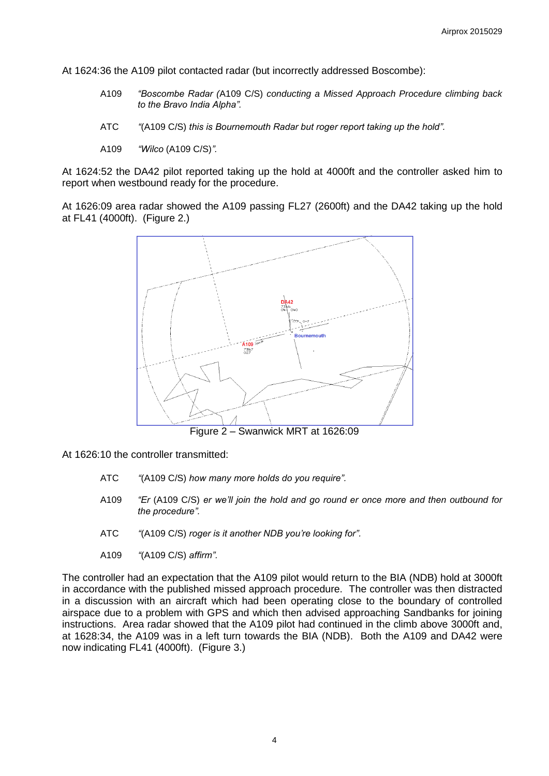At 1624:36 the A109 pilot contacted radar (but incorrectly addressed Boscombe):

- A109 *"Boscombe Radar (*A109 C/S) *conducting a Missed Approach Procedure climbing back to the Bravo India Alpha".*
- ATC *"*(A109 C/S) *this is Bournemouth Radar but roger report taking up the hold".*
- A109 *"Wilco* (A109 C/S)*".*

At 1624:52 the DA42 pilot reported taking up the hold at 4000ft and the controller asked him to report when westbound ready for the procedure.

At 1626:09 area radar showed the A109 passing FL27 (2600ft) and the DA42 taking up the hold at FL41 (4000ft). (Figure 2.)



At 1626:10 the controller transmitted:

- ATC *"*(A109 C/S) *how many more holds do you require".*
- A109 *"Er* (A109 C/S) *er we'll join the hold and go round er once more and then outbound for the procedure".*
- ATC *"*(A109 C/S) *roger is it another NDB you're looking for".*
- A109 *"*(A109 C/S) *affirm".*

The controller had an expectation that the A109 pilot would return to the BIA (NDB) hold at 3000ft in accordance with the published missed approach procedure. The controller was then distracted in a discussion with an aircraft which had been operating close to the boundary of controlled airspace due to a problem with GPS and which then advised approaching Sandbanks for joining instructions. Area radar showed that the A109 pilot had continued in the climb above 3000ft and, at 1628:34, the A109 was in a left turn towards the BIA (NDB). Both the A109 and DA42 were now indicating FL41 (4000ft). (Figure 3.)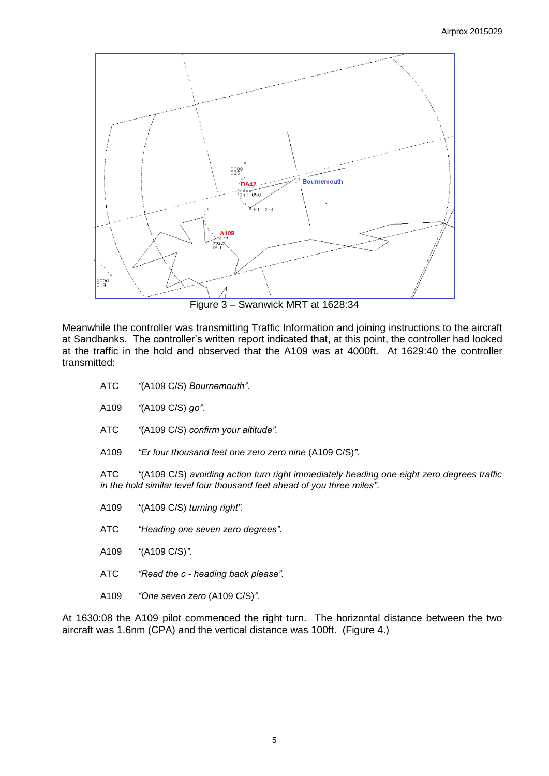

Meanwhile the controller was transmitting Traffic Information and joining instructions to the aircraft at Sandbanks. The controller's written report indicated that, at this point, the controller had looked at the traffic in the hold and observed that the A109 was at 4000ft. At 1629:40 the controller transmitted:

- ATC *"*(A109 C/S) *Bournemouth".*
- A109 *"*(A109 C/S) *go".*
- ATC *"*(A109 C/S) *confirm your altitude".*
- A109 *"Er four thousand feet one zero zero nine* (A109 C/S)*".*

ATC *"*(A109 C/S) *avoiding action turn right immediately heading one eight zero degrees traffic in the hold similar level four thousand feet ahead of you three miles".*

- A109 *"*(A109 C/S) *turning right".*
- ATC *"Heading one seven zero degrees".*
- A109 *"*(A109 C/S)*".*
- ATC *"Read the c - heading back please".*
- A109 *"One seven zero* (A109 C/S)*".*

At 1630:08 the A109 pilot commenced the right turn. The horizontal distance between the two aircraft was 1.6nm (CPA) and the vertical distance was 100ft. (Figure 4.)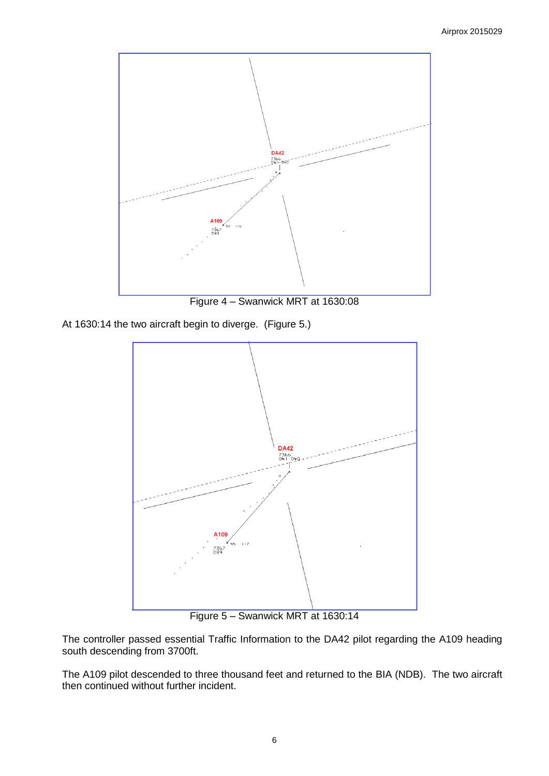

Figure 4 – Swanwick MRT at 1630:08

At 1630:14 the two aircraft begin to diverge. (Figure 5.)



Figure 5 – Swanwick MRT at 1630:14

The controller passed essential Traffic Information to the DA42 pilot regarding the A109 heading south descending from 3700ft.

The A109 pilot descended to three thousand feet and returned to the BIA (NDB). The two aircraft then continued without further incident.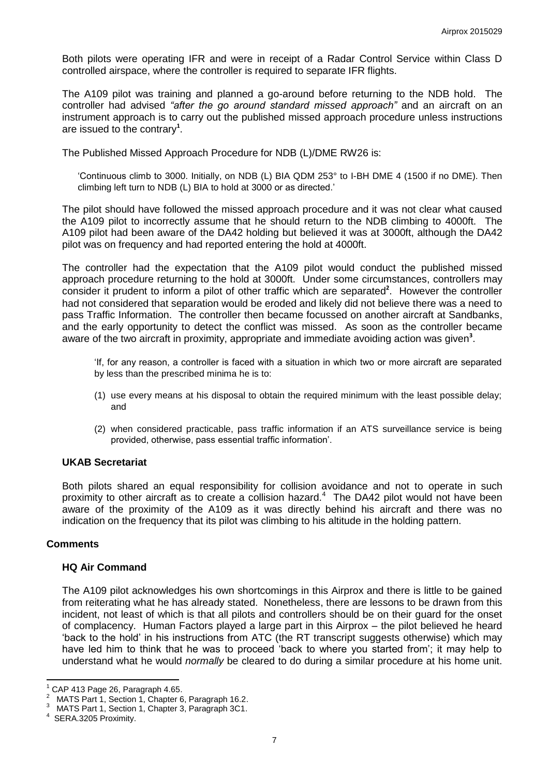Both pilots were operating IFR and were in receipt of a Radar Control Service within Class D controlled airspace, where the controller is required to separate IFR flights.

The A109 pilot was training and planned a go-around before returning to the NDB hold. The controller had advised *"after the go around standard missed approach"* and an aircraft on an instrument approach is to carry out the published missed approach procedure unless instructions are issued to the contrary**<sup>1</sup>** .

The Published Missed Approach Procedure for NDB (L)/DME RW26 is:

'Continuous climb to 3000. Initially, on NDB (L) BIA QDM 253° to I-BH DME 4 (1500 if no DME). Then climbing left turn to NDB (L) BIA to hold at 3000 or as directed.'

The pilot should have followed the missed approach procedure and it was not clear what caused the A109 pilot to incorrectly assume that he should return to the NDB climbing to 4000ft. The A109 pilot had been aware of the DA42 holding but believed it was at 3000ft, although the DA42 pilot was on frequency and had reported entering the hold at 4000ft.

The controller had the expectation that the A109 pilot would conduct the published missed approach procedure returning to the hold at 3000ft. Under some circumstances, controllers may consider it prudent to inform a pilot of other traffic which are separated<sup>2</sup>. However the controller had not considered that separation would be eroded and likely did not believe there was a need to pass Traffic Information. The controller then became focussed on another aircraft at Sandbanks, and the early opportunity to detect the conflict was missed. As soon as the controller became aware of the two aircraft in proximity, appropriate and immediate avoiding action was given**<sup>3</sup>** .

'If, for any reason, a controller is faced with a situation in which two or more aircraft are separated by less than the prescribed minima he is to:

- (1) use every means at his disposal to obtain the required minimum with the least possible delay; and
- (2) when considered practicable, pass traffic information if an ATS surveillance service is being provided, otherwise, pass essential traffic information'.

# **UKAB Secretariat**

Both pilots shared an equal responsibility for collision avoidance and not to operate in such proximity to other aircraft as to create a collision hazard.<sup>4</sup> The DA42 pilot would not have been aware of the proximity of the A109 as it was directly behind his aircraft and there was no indication on the frequency that its pilot was climbing to his altitude in the holding pattern.

#### **Comments**

#### **HQ Air Command**

The A109 pilot acknowledges his own shortcomings in this Airprox and there is little to be gained from reiterating what he has already stated. Nonetheless, there are lessons to be drawn from this incident, not least of which is that all pilots and controllers should be on their guard for the onset of complacency. Human Factors played a large part in this Airprox – the pilot believed he heard 'back to the hold' in his instructions from ATC (the RT transcript suggests otherwise) which may have led him to think that he was to proceed 'back to where you started from'; it may help to understand what he would *normally* be cleared to do during a similar procedure at his home unit.

 $\overline{a}$ 

 $^{1}$  CAP 413 Page 26, Paragraph 4.65.<br><sup>2</sup> MATS Pert 1, Section 1, Chapter 6

MATS Part 1, Section 1, Chapter 6, Paragraph 16.2.

<sup>&</sup>lt;sup>3</sup> MATS Part 1, Section 1, Chapter 3, Paragraph 3C1.

<sup>4</sup> SERA.3205 Proximity.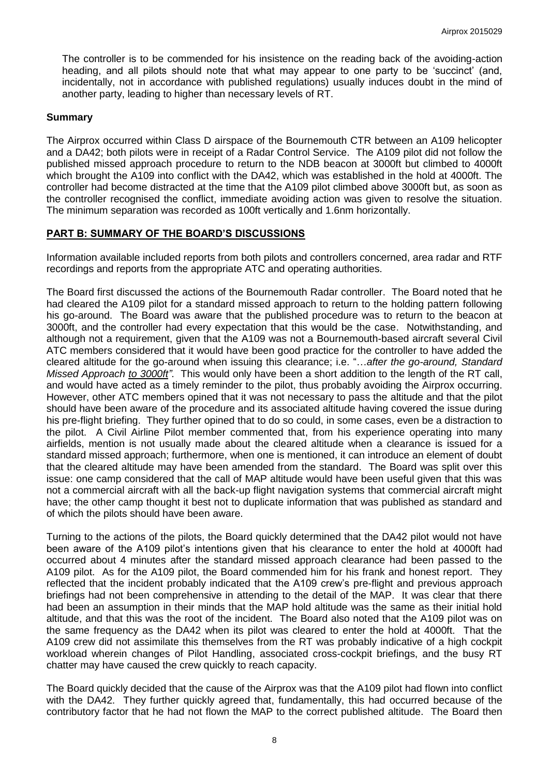The controller is to be commended for his insistence on the reading back of the avoiding-action heading, and all pilots should note that what may appear to one party to be 'succinct' (and, incidentally, not in accordance with published regulations) usually induces doubt in the mind of another party, leading to higher than necessary levels of RT.

#### **Summary**

The Airprox occurred within Class D airspace of the Bournemouth CTR between an A109 helicopter and a DA42; both pilots were in receipt of a Radar Control Service. The A109 pilot did not follow the published missed approach procedure to return to the NDB beacon at 3000ft but climbed to 4000ft which brought the A109 into conflict with the DA42, which was established in the hold at 4000ft. The controller had become distracted at the time that the A109 pilot climbed above 3000ft but, as soon as the controller recognised the conflict, immediate avoiding action was given to resolve the situation. The minimum separation was recorded as 100ft vertically and 1.6nm horizontally.

### **PART B: SUMMARY OF THE BOARD'S DISCUSSIONS**

Information available included reports from both pilots and controllers concerned, area radar and RTF recordings and reports from the appropriate ATC and operating authorities.

The Board first discussed the actions of the Bournemouth Radar controller. The Board noted that he had cleared the A109 pilot for a standard missed approach to return to the holding pattern following his go-around. The Board was aware that the published procedure was to return to the beacon at 3000ft, and the controller had every expectation that this would be the case. Notwithstanding, and although not a requirement, given that the A109 was not a Bournemouth-based aircraft several Civil ATC members considered that it would have been good practice for the controller to have added the cleared altitude for the go-around when issuing this clearance; i.e. "…*after the go-around, Standard Missed Approach to 3000ft"*. This would only have been a short addition to the length of the RT call, and would have acted as a timely reminder to the pilot, thus probably avoiding the Airprox occurring. However, other ATC members opined that it was not necessary to pass the altitude and that the pilot should have been aware of the procedure and its associated altitude having covered the issue during his pre-flight briefing. They further opined that to do so could, in some cases, even be a distraction to the pilot. A Civil Airline Pilot member commented that, from his experience operating into many airfields, mention is not usually made about the cleared altitude when a clearance is issued for a standard missed approach; furthermore, when one is mentioned, it can introduce an element of doubt that the cleared altitude may have been amended from the standard. The Board was split over this issue: one camp considered that the call of MAP altitude would have been useful given that this was not a commercial aircraft with all the back-up flight navigation systems that commercial aircraft might have; the other camp thought it best not to duplicate information that was published as standard and of which the pilots should have been aware.

Turning to the actions of the pilots, the Board quickly determined that the DA42 pilot would not have been aware of the A109 pilot's intentions given that his clearance to enter the hold at 4000ft had occurred about 4 minutes after the standard missed approach clearance had been passed to the A109 pilot. As for the A109 pilot, the Board commended him for his frank and honest report. They reflected that the incident probably indicated that the A109 crew's pre-flight and previous approach briefings had not been comprehensive in attending to the detail of the MAP. It was clear that there had been an assumption in their minds that the MAP hold altitude was the same as their initial hold altitude, and that this was the root of the incident. The Board also noted that the A109 pilot was on the same frequency as the DA42 when its pilot was cleared to enter the hold at 4000ft. That the A109 crew did not assimilate this themselves from the RT was probably indicative of a high cockpit workload wherein changes of Pilot Handling, associated cross-cockpit briefings, and the busy RT chatter may have caused the crew quickly to reach capacity.

The Board quickly decided that the cause of the Airprox was that the A109 pilot had flown into conflict with the DA42. They further quickly agreed that, fundamentally, this had occurred because of the contributory factor that he had not flown the MAP to the correct published altitude. The Board then